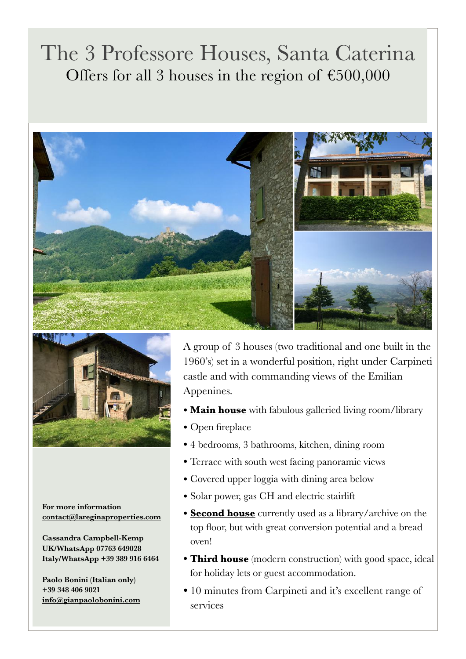## The 3 Professore Houses, Santa Caterina Offers for all 3 houses in the region of  $£500,000$





**For more information [contact@lareginaproperties.com](http://www.apple.com)**

**Cassandra Campbell-Kemp UK/WhatsApp 07763 649028 Italy/WhatsApp +39 389 916 6464** 

**Paolo Bonini (Italian only) +39 348 406 9021 [info@gianpaolobonini.com](http://www.apple.com)** A group of 3 houses (two traditional and one built in the 1960's) set in a wonderful position, right under Carpineti castle and with commanding views of the Emilian Appenines.

- **Main house** with fabulous galleried living room/library
- Open fireplace
- 4 bedrooms, 3 bathrooms, kitchen, dining room
- Terrace with south west facing panoramic views
- Covered upper loggia with dining area below
- Solar power, gas CH and electric stairlift
- **Second house** currently used as a library/archive on the top floor, but with great conversion potential and a bread oven!
- **Third house** (modern construction) with good space, ideal for holiday lets or guest accommodation.
- 10 minutes from Carpineti and it's excellent range of services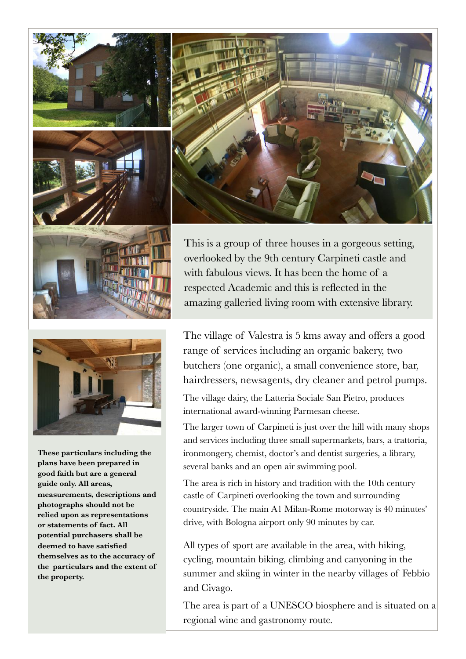



This is a group of three houses in a gorgeous setting, overlooked by the 9th century Carpineti castle and with fabulous views. It has been the home of a respected Academic and this is reflected in the amazing galleried living room with extensive library.



**These particulars including the plans have been prepared in good faith but are a general guide only. All areas, measurements, descriptions and photographs should not be relied upon as representations or statements of fact. All potential purchasers shall be deemed to have satisfied themselves as to the accuracy of the particulars and the extent of the property.** 

The village of Valestra is 5 kms away and offers a good range of services including an organic bakery, two butchers (one organic), a small convenience store, bar, hairdressers, newsagents, dry cleaner and petrol pumps.

The village dairy, the Latteria Sociale San Pietro, produces international award-winning Parmesan cheese.

The larger town of Carpineti is just over the hill with many shops and services including three small supermarkets, bars, a trattoria, ironmongery, chemist, doctor's and dentist surgeries, a library, several banks and an open air swimming pool.

The area is rich in history and tradition with the 10th century castle of Carpineti overlooking the town and surrounding countryside. The main A1 Milan-Rome motorway is 40 minutes' drive, with Bologna airport only 90 minutes by car.

All types of sport are available in the area, with hiking, cycling, mountain biking, climbing and canyoning in the summer and skiing in winter in the nearby villages of Febbio and Civago.

The area is part of a UNESCO biosphere and is situated on a regional wine and gastronomy route.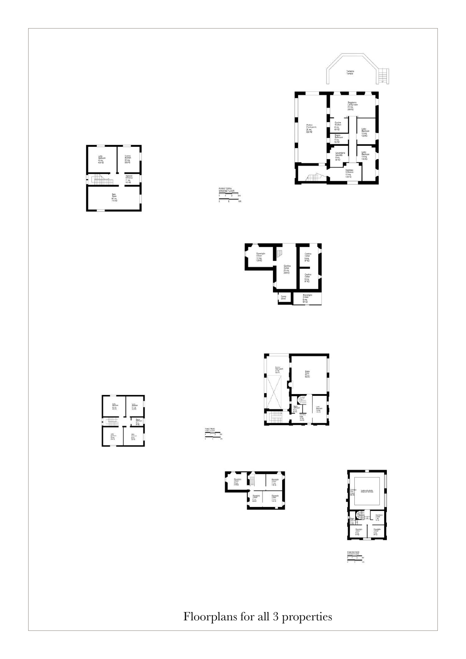











PIANO TERRA<br>GROUND FLOOR<br>0 1 2 3mi





 $\begin{array}{l|l} \texttt{N90 SIOOO} \\ \texttt{IICONIR.059} \\ \hline \texttt{1} & \texttt{1} & \texttt{2} \\ \hline \texttt{2} & \texttt{3} & \texttt{0} \end{array}$ 

Floorplans for all 3 properties